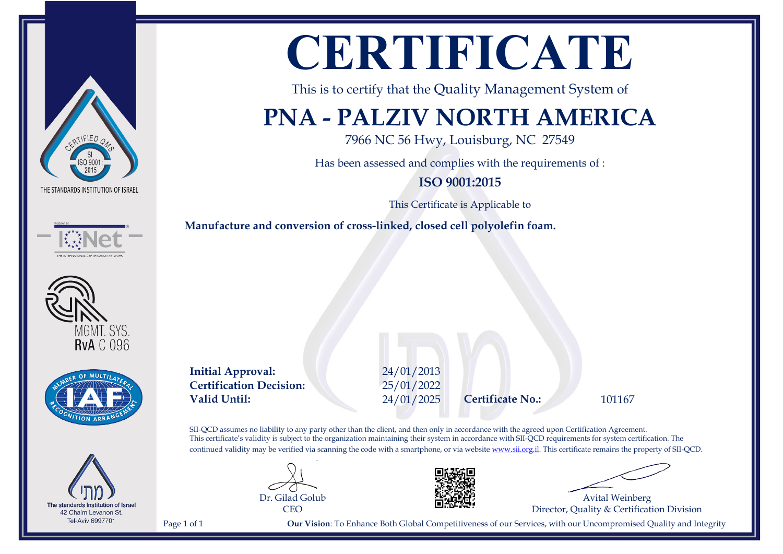







The standards Institution of Israel 42 Chaim Levanon St, **Tel-Aviv 6997701** 

# **CERTIFICATE**

This is to certify that the Quality Management System of

### **PNA - PALZIV NORTH AMERICA**

7966 NC 56 Hwy, Louisburg, NC 27549

Has been assessed and complies with the requirements of :

**ISO 9001:2015**

This Certificate is Applicable to

**Manufacture and conversion of cross-linked, closed cell polyolefin foam.**

**Initial Approval:** 24/01/2013 **Certification Decision:** 25/01/2022 **Valid Until:** 24/01/2025 **Certificate No.:** 101167

SII-QCD assumes no liability to any party other than the client, and then only in accordance with the agreed upon Certification Agreement. This certificate's validity is subject to the organization maintaining their system in accordance with SII-QCD requirements for system certification. The continued validity may be verified via scanning the code with a smartphone, or via website [www.sii.org.il.](http://www.sii.org.il) This certificate remains the property of SII-QCD.





Avital Weinberg Director, Quality & Certification Division

Page 1 of 1 **Our Vision**: To Enhance Both Global Competitiveness of our Services, with our Uncompromised Quality and Integrity